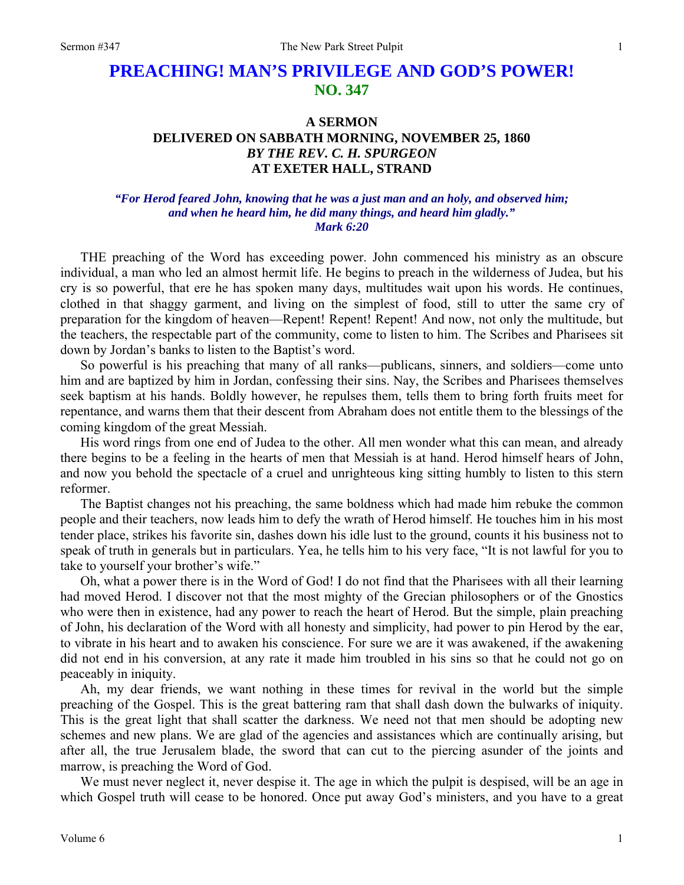# **PREACHING! MAN'S PRIVILEGE AND GOD'S POWER! NO. 347**

## **A SERMON DELIVERED ON SABBATH MORNING, NOVEMBER 25, 1860**  *BY THE REV. C. H. SPURGEON*  **AT EXETER HALL, STRAND**

### *"For Herod feared John, knowing that he was a just man and an holy, and observed him; and when he heard him, he did many things, and heard him gladly." Mark 6:20*

THE preaching of the Word has exceeding power. John commenced his ministry as an obscure individual, a man who led an almost hermit life. He begins to preach in the wilderness of Judea, but his cry is so powerful, that ere he has spoken many days, multitudes wait upon his words. He continues, clothed in that shaggy garment, and living on the simplest of food, still to utter the same cry of preparation for the kingdom of heaven—Repent! Repent! Repent! And now, not only the multitude, but the teachers, the respectable part of the community, come to listen to him. The Scribes and Pharisees sit down by Jordan's banks to listen to the Baptist's word.

So powerful is his preaching that many of all ranks—publicans, sinners, and soldiers—come unto him and are baptized by him in Jordan, confessing their sins. Nay, the Scribes and Pharisees themselves seek baptism at his hands. Boldly however, he repulses them, tells them to bring forth fruits meet for repentance, and warns them that their descent from Abraham does not entitle them to the blessings of the coming kingdom of the great Messiah.

His word rings from one end of Judea to the other. All men wonder what this can mean, and already there begins to be a feeling in the hearts of men that Messiah is at hand. Herod himself hears of John, and now you behold the spectacle of a cruel and unrighteous king sitting humbly to listen to this stern reformer.

The Baptist changes not his preaching, the same boldness which had made him rebuke the common people and their teachers, now leads him to defy the wrath of Herod himself. He touches him in his most tender place, strikes his favorite sin, dashes down his idle lust to the ground, counts it his business not to speak of truth in generals but in particulars. Yea, he tells him to his very face, "It is not lawful for you to take to yourself your brother's wife."

Oh, what a power there is in the Word of God! I do not find that the Pharisees with all their learning had moved Herod. I discover not that the most mighty of the Grecian philosophers or of the Gnostics who were then in existence, had any power to reach the heart of Herod. But the simple, plain preaching of John, his declaration of the Word with all honesty and simplicity, had power to pin Herod by the ear, to vibrate in his heart and to awaken his conscience. For sure we are it was awakened, if the awakening did not end in his conversion, at any rate it made him troubled in his sins so that he could not go on peaceably in iniquity.

Ah, my dear friends, we want nothing in these times for revival in the world but the simple preaching of the Gospel. This is the great battering ram that shall dash down the bulwarks of iniquity. This is the great light that shall scatter the darkness. We need not that men should be adopting new schemes and new plans. We are glad of the agencies and assistances which are continually arising, but after all, the true Jerusalem blade, the sword that can cut to the piercing asunder of the joints and marrow, is preaching the Word of God.

We must never neglect it, never despise it. The age in which the pulpit is despised, will be an age in which Gospel truth will cease to be honored. Once put away God's ministers, and you have to a great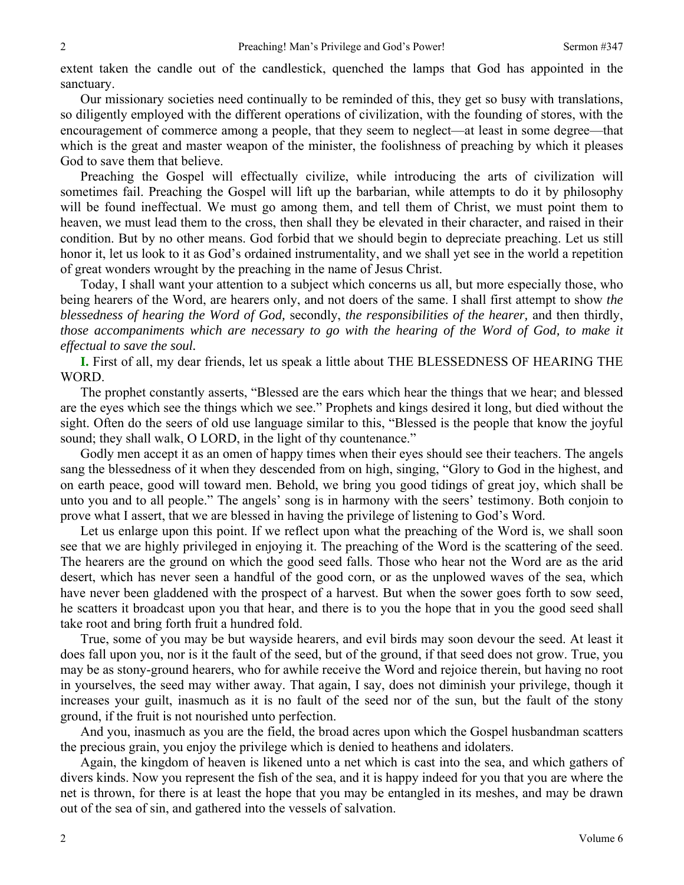extent taken the candle out of the candlestick, quenched the lamps that God has appointed in the sanctuary.

Our missionary societies need continually to be reminded of this, they get so busy with translations, so diligently employed with the different operations of civilization, with the founding of stores, with the encouragement of commerce among a people, that they seem to neglect—at least in some degree—that which is the great and master weapon of the minister, the foolishness of preaching by which it pleases God to save them that believe.

Preaching the Gospel will effectually civilize, while introducing the arts of civilization will sometimes fail. Preaching the Gospel will lift up the barbarian, while attempts to do it by philosophy will be found ineffectual. We must go among them, and tell them of Christ, we must point them to heaven, we must lead them to the cross, then shall they be elevated in their character, and raised in their condition. But by no other means. God forbid that we should begin to depreciate preaching. Let us still honor it, let us look to it as God's ordained instrumentality, and we shall yet see in the world a repetition of great wonders wrought by the preaching in the name of Jesus Christ.

Today, I shall want your attention to a subject which concerns us all, but more especially those, who being hearers of the Word, are hearers only, and not doers of the same. I shall first attempt to show *the blessedness of hearing the Word of God,* secondly, *the responsibilities of the hearer,* and then thirdly, *those accompaniments which are necessary to go with the hearing of the Word of God, to make it effectual to save the soul.*

**I.** First of all, my dear friends, let us speak a little about THE BLESSEDNESS OF HEARING THE WORD.

The prophet constantly asserts, "Blessed are the ears which hear the things that we hear; and blessed are the eyes which see the things which we see." Prophets and kings desired it long, but died without the sight. Often do the seers of old use language similar to this, "Blessed is the people that know the joyful sound; they shall walk, O LORD, in the light of thy countenance."

Godly men accept it as an omen of happy times when their eyes should see their teachers. The angels sang the blessedness of it when they descended from on high, singing, "Glory to God in the highest, and on earth peace, good will toward men. Behold, we bring you good tidings of great joy, which shall be unto you and to all people." The angels' song is in harmony with the seers' testimony. Both conjoin to prove what I assert, that we are blessed in having the privilege of listening to God's Word.

Let us enlarge upon this point. If we reflect upon what the preaching of the Word is, we shall soon see that we are highly privileged in enjoying it. The preaching of the Word is the scattering of the seed. The hearers are the ground on which the good seed falls. Those who hear not the Word are as the arid desert, which has never seen a handful of the good corn, or as the unplowed waves of the sea, which have never been gladdened with the prospect of a harvest. But when the sower goes forth to sow seed, he scatters it broadcast upon you that hear, and there is to you the hope that in you the good seed shall take root and bring forth fruit a hundred fold.

True, some of you may be but wayside hearers, and evil birds may soon devour the seed. At least it does fall upon you, nor is it the fault of the seed, but of the ground, if that seed does not grow. True, you may be as stony-ground hearers, who for awhile receive the Word and rejoice therein, but having no root in yourselves, the seed may wither away. That again, I say, does not diminish your privilege, though it increases your guilt, inasmuch as it is no fault of the seed nor of the sun, but the fault of the stony ground, if the fruit is not nourished unto perfection.

And you, inasmuch as you are the field, the broad acres upon which the Gospel husbandman scatters the precious grain, you enjoy the privilege which is denied to heathens and idolaters.

Again, the kingdom of heaven is likened unto a net which is cast into the sea, and which gathers of divers kinds. Now you represent the fish of the sea, and it is happy indeed for you that you are where the net is thrown, for there is at least the hope that you may be entangled in its meshes, and may be drawn out of the sea of sin, and gathered into the vessels of salvation.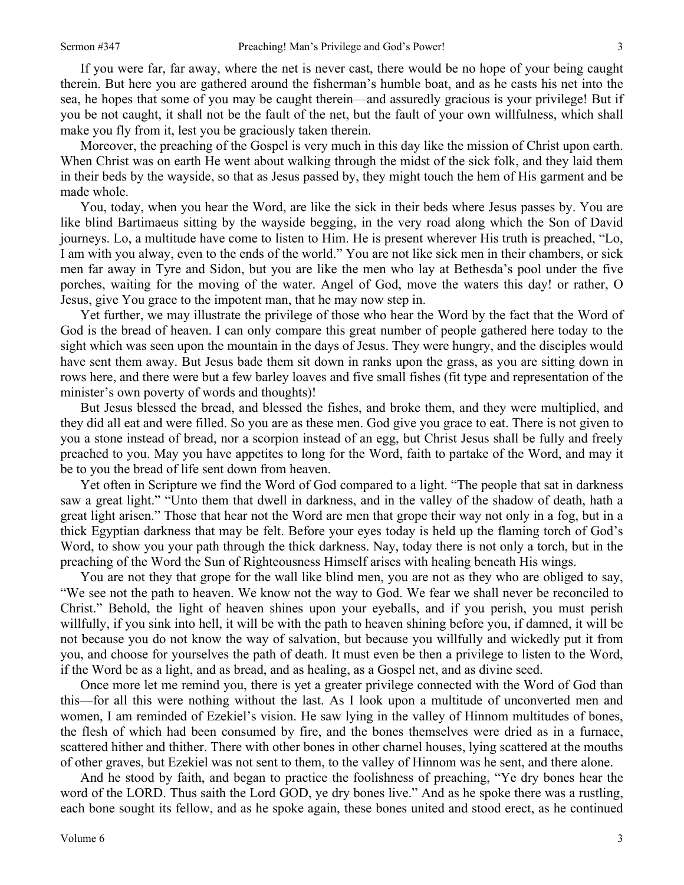If you were far, far away, where the net is never cast, there would be no hope of your being caught therein. But here you are gathered around the fisherman's humble boat, and as he casts his net into the sea, he hopes that some of you may be caught therein—and assuredly gracious is your privilege! But if you be not caught, it shall not be the fault of the net, but the fault of your own willfulness, which shall make you fly from it, lest you be graciously taken therein.

Moreover, the preaching of the Gospel is very much in this day like the mission of Christ upon earth. When Christ was on earth He went about walking through the midst of the sick folk, and they laid them in their beds by the wayside, so that as Jesus passed by, they might touch the hem of His garment and be made whole.

You, today, when you hear the Word, are like the sick in their beds where Jesus passes by. You are like blind Bartimaeus sitting by the wayside begging, in the very road along which the Son of David journeys. Lo, a multitude have come to listen to Him. He is present wherever His truth is preached, "Lo, I am with you alway, even to the ends of the world." You are not like sick men in their chambers, or sick men far away in Tyre and Sidon, but you are like the men who lay at Bethesda's pool under the five porches, waiting for the moving of the water. Angel of God, move the waters this day! or rather, O Jesus, give You grace to the impotent man, that he may now step in.

Yet further, we may illustrate the privilege of those who hear the Word by the fact that the Word of God is the bread of heaven. I can only compare this great number of people gathered here today to the sight which was seen upon the mountain in the days of Jesus. They were hungry, and the disciples would have sent them away. But Jesus bade them sit down in ranks upon the grass, as you are sitting down in rows here, and there were but a few barley loaves and five small fishes (fit type and representation of the minister's own poverty of words and thoughts)!

But Jesus blessed the bread, and blessed the fishes, and broke them, and they were multiplied, and they did all eat and were filled. So you are as these men. God give you grace to eat. There is not given to you a stone instead of bread, nor a scorpion instead of an egg, but Christ Jesus shall be fully and freely preached to you. May you have appetites to long for the Word, faith to partake of the Word, and may it be to you the bread of life sent down from heaven.

Yet often in Scripture we find the Word of God compared to a light. "The people that sat in darkness saw a great light." "Unto them that dwell in darkness, and in the valley of the shadow of death, hath a great light arisen." Those that hear not the Word are men that grope their way not only in a fog, but in a thick Egyptian darkness that may be felt. Before your eyes today is held up the flaming torch of God's Word, to show you your path through the thick darkness. Nay, today there is not only a torch, but in the preaching of the Word the Sun of Righteousness Himself arises with healing beneath His wings.

You are not they that grope for the wall like blind men, you are not as they who are obliged to say, "We see not the path to heaven. We know not the way to God. We fear we shall never be reconciled to Christ." Behold, the light of heaven shines upon your eyeballs, and if you perish, you must perish willfully, if you sink into hell, it will be with the path to heaven shining before you, if damned, it will be not because you do not know the way of salvation, but because you willfully and wickedly put it from you, and choose for yourselves the path of death. It must even be then a privilege to listen to the Word, if the Word be as a light, and as bread, and as healing, as a Gospel net, and as divine seed.

Once more let me remind you, there is yet a greater privilege connected with the Word of God than this—for all this were nothing without the last. As I look upon a multitude of unconverted men and women, I am reminded of Ezekiel's vision. He saw lying in the valley of Hinnom multitudes of bones, the flesh of which had been consumed by fire, and the bones themselves were dried as in a furnace, scattered hither and thither. There with other bones in other charnel houses, lying scattered at the mouths of other graves, but Ezekiel was not sent to them, to the valley of Hinnom was he sent, and there alone.

And he stood by faith, and began to practice the foolishness of preaching, "Ye dry bones hear the word of the LORD. Thus saith the Lord GOD, ye dry bones live." And as he spoke there was a rustling, each bone sought its fellow, and as he spoke again, these bones united and stood erect, as he continued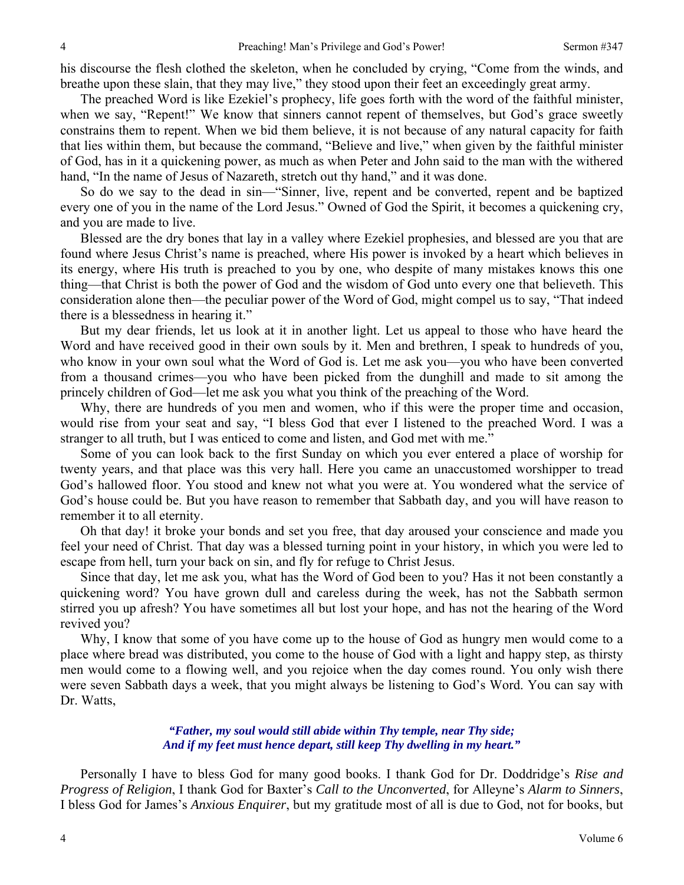his discourse the flesh clothed the skeleton, when he concluded by crying, "Come from the winds, and breathe upon these slain, that they may live," they stood upon their feet an exceedingly great army.

The preached Word is like Ezekiel's prophecy, life goes forth with the word of the faithful minister, when we say, "Repent!" We know that sinners cannot repent of themselves, but God's grace sweetly constrains them to repent. When we bid them believe, it is not because of any natural capacity for faith that lies within them, but because the command, "Believe and live," when given by the faithful minister of God, has in it a quickening power, as much as when Peter and John said to the man with the withered hand, "In the name of Jesus of Nazareth, stretch out thy hand," and it was done.

So do we say to the dead in sin—"Sinner, live, repent and be converted, repent and be baptized every one of you in the name of the Lord Jesus." Owned of God the Spirit, it becomes a quickening cry, and you are made to live.

Blessed are the dry bones that lay in a valley where Ezekiel prophesies, and blessed are you that are found where Jesus Christ's name is preached, where His power is invoked by a heart which believes in its energy, where His truth is preached to you by one, who despite of many mistakes knows this one thing—that Christ is both the power of God and the wisdom of God unto every one that believeth. This consideration alone then—the peculiar power of the Word of God, might compel us to say, "That indeed there is a blessedness in hearing it."

But my dear friends, let us look at it in another light. Let us appeal to those who have heard the Word and have received good in their own souls by it. Men and brethren, I speak to hundreds of you, who know in your own soul what the Word of God is. Let me ask you—you who have been converted from a thousand crimes—you who have been picked from the dunghill and made to sit among the princely children of God—let me ask you what you think of the preaching of the Word.

Why, there are hundreds of you men and women, who if this were the proper time and occasion, would rise from your seat and say, "I bless God that ever I listened to the preached Word. I was a stranger to all truth, but I was enticed to come and listen, and God met with me."

Some of you can look back to the first Sunday on which you ever entered a place of worship for twenty years, and that place was this very hall. Here you came an unaccustomed worshipper to tread God's hallowed floor. You stood and knew not what you were at. You wondered what the service of God's house could be. But you have reason to remember that Sabbath day, and you will have reason to remember it to all eternity.

Oh that day! it broke your bonds and set you free, that day aroused your conscience and made you feel your need of Christ. That day was a blessed turning point in your history, in which you were led to escape from hell, turn your back on sin, and fly for refuge to Christ Jesus.

Since that day, let me ask you, what has the Word of God been to you? Has it not been constantly a quickening word? You have grown dull and careless during the week, has not the Sabbath sermon stirred you up afresh? You have sometimes all but lost your hope, and has not the hearing of the Word revived you?

Why, I know that some of you have come up to the house of God as hungry men would come to a place where bread was distributed, you come to the house of God with a light and happy step, as thirsty men would come to a flowing well, and you rejoice when the day comes round. You only wish there were seven Sabbath days a week, that you might always be listening to God's Word. You can say with Dr. Watts,

### *"Father, my soul would still abide within Thy temple, near Thy side; And if my feet must hence depart, still keep Thy dwelling in my heart."*

Personally I have to bless God for many good books. I thank God for Dr. Doddridge's *Rise and Progress of Religion*, I thank God for Baxter's *Call to the Unconverted*, for Alleyne's *Alarm to Sinners*, I bless God for James's *Anxious Enquirer*, but my gratitude most of all is due to God, not for books, but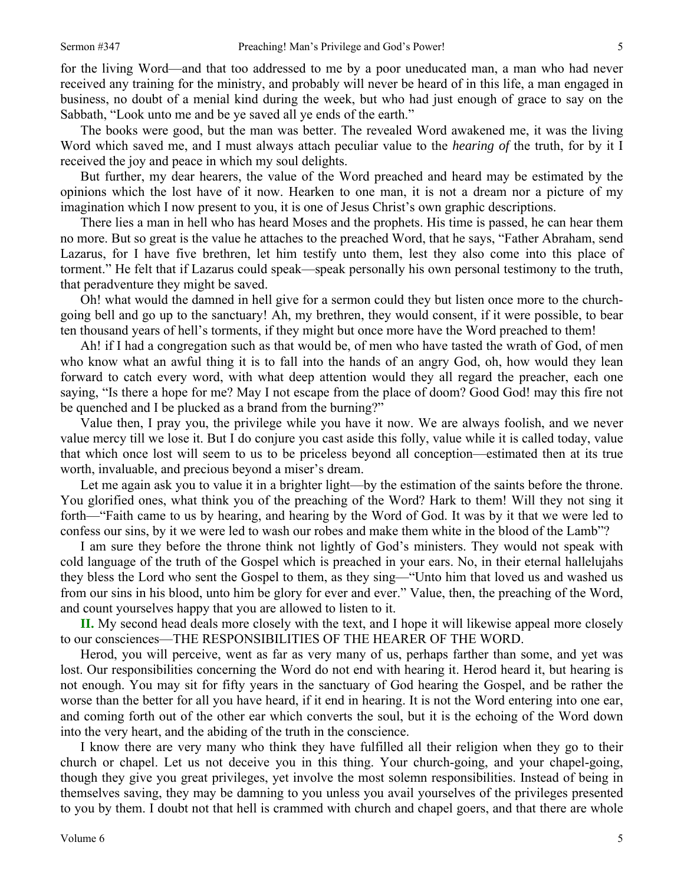for the living Word—and that too addressed to me by a poor uneducated man, a man who had never received any training for the ministry, and probably will never be heard of in this life, a man engaged in business, no doubt of a menial kind during the week, but who had just enough of grace to say on the Sabbath, "Look unto me and be ye saved all ye ends of the earth."

The books were good, but the man was better. The revealed Word awakened me, it was the living Word which saved me, and I must always attach peculiar value to the *hearing of* the truth, for by it I received the joy and peace in which my soul delights.

But further, my dear hearers, the value of the Word preached and heard may be estimated by the opinions which the lost have of it now. Hearken to one man, it is not a dream nor a picture of my imagination which I now present to you, it is one of Jesus Christ's own graphic descriptions.

There lies a man in hell who has heard Moses and the prophets. His time is passed, he can hear them no more. But so great is the value he attaches to the preached Word, that he says, "Father Abraham, send Lazarus, for I have five brethren, let him testify unto them, lest they also come into this place of torment." He felt that if Lazarus could speak—speak personally his own personal testimony to the truth, that peradventure they might be saved.

Oh! what would the damned in hell give for a sermon could they but listen once more to the churchgoing bell and go up to the sanctuary! Ah, my brethren, they would consent, if it were possible, to bear ten thousand years of hell's torments, if they might but once more have the Word preached to them!

Ah! if I had a congregation such as that would be, of men who have tasted the wrath of God, of men who know what an awful thing it is to fall into the hands of an angry God, oh, how would they lean forward to catch every word, with what deep attention would they all regard the preacher, each one saying, "Is there a hope for me? May I not escape from the place of doom? Good God! may this fire not be quenched and I be plucked as a brand from the burning?"

Value then, I pray you, the privilege while you have it now. We are always foolish, and we never value mercy till we lose it. But I do conjure you cast aside this folly, value while it is called today, value that which once lost will seem to us to be priceless beyond all conception—estimated then at its true worth, invaluable, and precious beyond a miser's dream.

Let me again ask you to value it in a brighter light—by the estimation of the saints before the throne. You glorified ones, what think you of the preaching of the Word? Hark to them! Will they not sing it forth—"Faith came to us by hearing, and hearing by the Word of God. It was by it that we were led to confess our sins, by it we were led to wash our robes and make them white in the blood of the Lamb"?

I am sure they before the throne think not lightly of God's ministers. They would not speak with cold language of the truth of the Gospel which is preached in your ears. No, in their eternal hallelujahs they bless the Lord who sent the Gospel to them, as they sing—"Unto him that loved us and washed us from our sins in his blood, unto him be glory for ever and ever." Value, then, the preaching of the Word, and count yourselves happy that you are allowed to listen to it.

**II.** My second head deals more closely with the text, and I hope it will likewise appeal more closely to our consciences—THE RESPONSIBILITIES OF THE HEARER OF THE WORD.

Herod, you will perceive, went as far as very many of us, perhaps farther than some, and yet was lost. Our responsibilities concerning the Word do not end with hearing it. Herod heard it, but hearing is not enough. You may sit for fifty years in the sanctuary of God hearing the Gospel, and be rather the worse than the better for all you have heard, if it end in hearing. It is not the Word entering into one ear, and coming forth out of the other ear which converts the soul, but it is the echoing of the Word down into the very heart, and the abiding of the truth in the conscience.

I know there are very many who think they have fulfilled all their religion when they go to their church or chapel. Let us not deceive you in this thing. Your church-going, and your chapel-going, though they give you great privileges, yet involve the most solemn responsibilities. Instead of being in themselves saving, they may be damning to you unless you avail yourselves of the privileges presented to you by them. I doubt not that hell is crammed with church and chapel goers, and that there are whole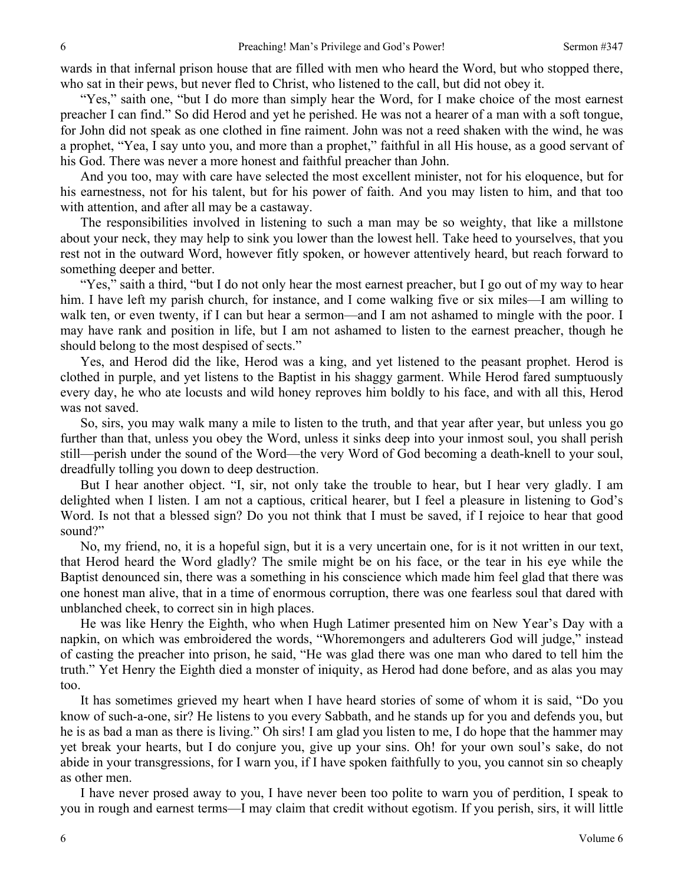wards in that infernal prison house that are filled with men who heard the Word, but who stopped there, who sat in their pews, but never fled to Christ, who listened to the call, but did not obey it.

"Yes," saith one, "but I do more than simply hear the Word, for I make choice of the most earnest preacher I can find." So did Herod and yet he perished. He was not a hearer of a man with a soft tongue, for John did not speak as one clothed in fine raiment. John was not a reed shaken with the wind, he was a prophet, "Yea, I say unto you, and more than a prophet," faithful in all His house, as a good servant of his God. There was never a more honest and faithful preacher than John.

And you too, may with care have selected the most excellent minister, not for his eloquence, but for his earnestness, not for his talent, but for his power of faith. And you may listen to him, and that too with attention, and after all may be a castaway.

The responsibilities involved in listening to such a man may be so weighty, that like a millstone about your neck, they may help to sink you lower than the lowest hell. Take heed to yourselves, that you rest not in the outward Word, however fitly spoken, or however attentively heard, but reach forward to something deeper and better.

"Yes," saith a third, "but I do not only hear the most earnest preacher, but I go out of my way to hear him. I have left my parish church, for instance, and I come walking five or six miles—I am willing to walk ten, or even twenty, if I can but hear a sermon—and I am not ashamed to mingle with the poor. I may have rank and position in life, but I am not ashamed to listen to the earnest preacher, though he should belong to the most despised of sects."

Yes, and Herod did the like, Herod was a king, and yet listened to the peasant prophet. Herod is clothed in purple, and yet listens to the Baptist in his shaggy garment. While Herod fared sumptuously every day, he who ate locusts and wild honey reproves him boldly to his face, and with all this, Herod was not saved.

So, sirs, you may walk many a mile to listen to the truth, and that year after year, but unless you go further than that, unless you obey the Word, unless it sinks deep into your inmost soul, you shall perish still—perish under the sound of the Word—the very Word of God becoming a death-knell to your soul, dreadfully tolling you down to deep destruction.

But I hear another object. "I, sir, not only take the trouble to hear, but I hear very gladly. I am delighted when I listen. I am not a captious, critical hearer, but I feel a pleasure in listening to God's Word. Is not that a blessed sign? Do you not think that I must be saved, if I rejoice to hear that good sound?"

No, my friend, no, it is a hopeful sign, but it is a very uncertain one, for is it not written in our text, that Herod heard the Word gladly? The smile might be on his face, or the tear in his eye while the Baptist denounced sin, there was a something in his conscience which made him feel glad that there was one honest man alive, that in a time of enormous corruption, there was one fearless soul that dared with unblanched cheek, to correct sin in high places.

He was like Henry the Eighth, who when Hugh Latimer presented him on New Year's Day with a napkin, on which was embroidered the words, "Whoremongers and adulterers God will judge," instead of casting the preacher into prison, he said, "He was glad there was one man who dared to tell him the truth." Yet Henry the Eighth died a monster of iniquity, as Herod had done before, and as alas you may too.

It has sometimes grieved my heart when I have heard stories of some of whom it is said, "Do you know of such-a-one, sir? He listens to you every Sabbath, and he stands up for you and defends you, but he is as bad a man as there is living." Oh sirs! I am glad you listen to me, I do hope that the hammer may yet break your hearts, but I do conjure you, give up your sins. Oh! for your own soul's sake, do not abide in your transgressions, for I warn you, if I have spoken faithfully to you, you cannot sin so cheaply as other men.

I have never prosed away to you, I have never been too polite to warn you of perdition, I speak to you in rough and earnest terms—I may claim that credit without egotism. If you perish, sirs, it will little

6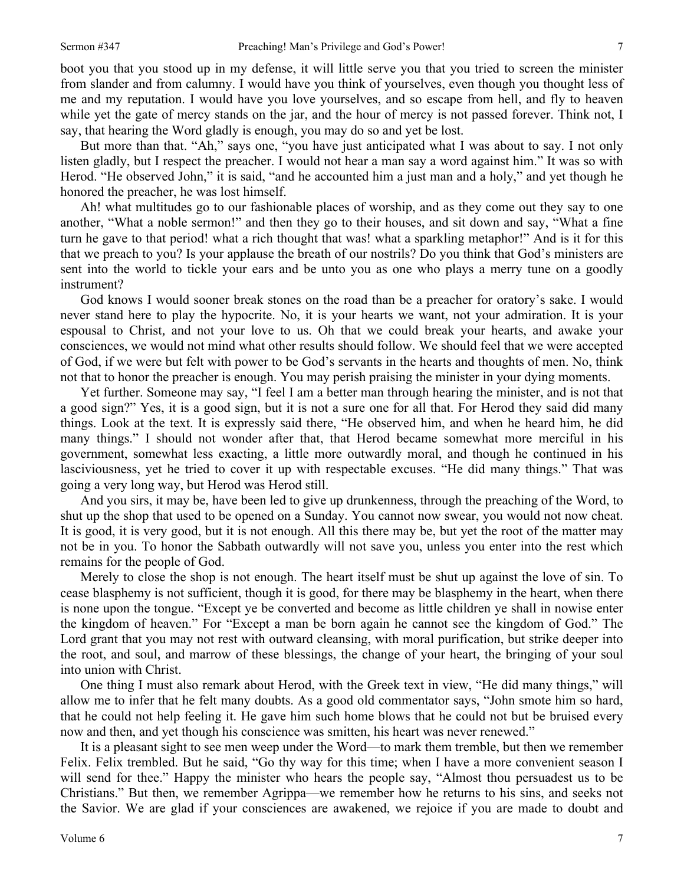boot you that you stood up in my defense, it will little serve you that you tried to screen the minister from slander and from calumny. I would have you think of yourselves, even though you thought less of me and my reputation. I would have you love yourselves, and so escape from hell, and fly to heaven while yet the gate of mercy stands on the jar, and the hour of mercy is not passed forever. Think not, I say, that hearing the Word gladly is enough, you may do so and yet be lost.

But more than that. "Ah," says one, "you have just anticipated what I was about to say. I not only listen gladly, but I respect the preacher. I would not hear a man say a word against him." It was so with Herod. "He observed John," it is said, "and he accounted him a just man and a holy," and yet though he honored the preacher, he was lost himself.

Ah! what multitudes go to our fashionable places of worship, and as they come out they say to one another, "What a noble sermon!" and then they go to their houses, and sit down and say, "What a fine turn he gave to that period! what a rich thought that was! what a sparkling metaphor!" And is it for this that we preach to you? Is your applause the breath of our nostrils? Do you think that God's ministers are sent into the world to tickle your ears and be unto you as one who plays a merry tune on a goodly instrument?

God knows I would sooner break stones on the road than be a preacher for oratory's sake. I would never stand here to play the hypocrite. No, it is your hearts we want, not your admiration. It is your espousal to Christ*,* and not your love to us. Oh that we could break your hearts, and awake your consciences, we would not mind what other results should follow. We should feel that we were accepted of God, if we were but felt with power to be God's servants in the hearts and thoughts of men. No, think not that to honor the preacher is enough. You may perish praising the minister in your dying moments.

Yet further. Someone may say, "I feel I am a better man through hearing the minister, and is not that a good sign?" Yes, it is a good sign, but it is not a sure one for all that. For Herod they said did many things. Look at the text. It is expressly said there, "He observed him, and when he heard him, he did many things." I should not wonder after that, that Herod became somewhat more merciful in his government, somewhat less exacting, a little more outwardly moral, and though he continued in his lasciviousness, yet he tried to cover it up with respectable excuses. "He did many things." That was going a very long way, but Herod was Herod still.

And you sirs, it may be, have been led to give up drunkenness, through the preaching of the Word, to shut up the shop that used to be opened on a Sunday. You cannot now swear, you would not now cheat. It is good, it is very good, but it is not enough. All this there may be, but yet the root of the matter may not be in you. To honor the Sabbath outwardly will not save you, unless you enter into the rest which remains for the people of God.

Merely to close the shop is not enough. The heart itself must be shut up against the love of sin. To cease blasphemy is not sufficient, though it is good, for there may be blasphemy in the heart, when there is none upon the tongue. "Except ye be converted and become as little children ye shall in nowise enter the kingdom of heaven." For "Except a man be born again he cannot see the kingdom of God." The Lord grant that you may not rest with outward cleansing, with moral purification, but strike deeper into the root, and soul, and marrow of these blessings, the change of your heart, the bringing of your soul into union with Christ.

One thing I must also remark about Herod, with the Greek text in view, "He did many things," will allow me to infer that he felt many doubts. As a good old commentator says, "John smote him so hard, that he could not help feeling it. He gave him such home blows that he could not but be bruised every now and then, and yet though his conscience was smitten, his heart was never renewed."

It is a pleasant sight to see men weep under the Word—to mark them tremble, but then we remember Felix. Felix trembled. But he said, "Go thy way for this time; when I have a more convenient season I will send for thee." Happy the minister who hears the people say, "Almost thou persuadest us to be Christians." But then, we remember Agrippa—we remember how he returns to his sins, and seeks not the Savior. We are glad if your consciences are awakened, we rejoice if you are made to doubt and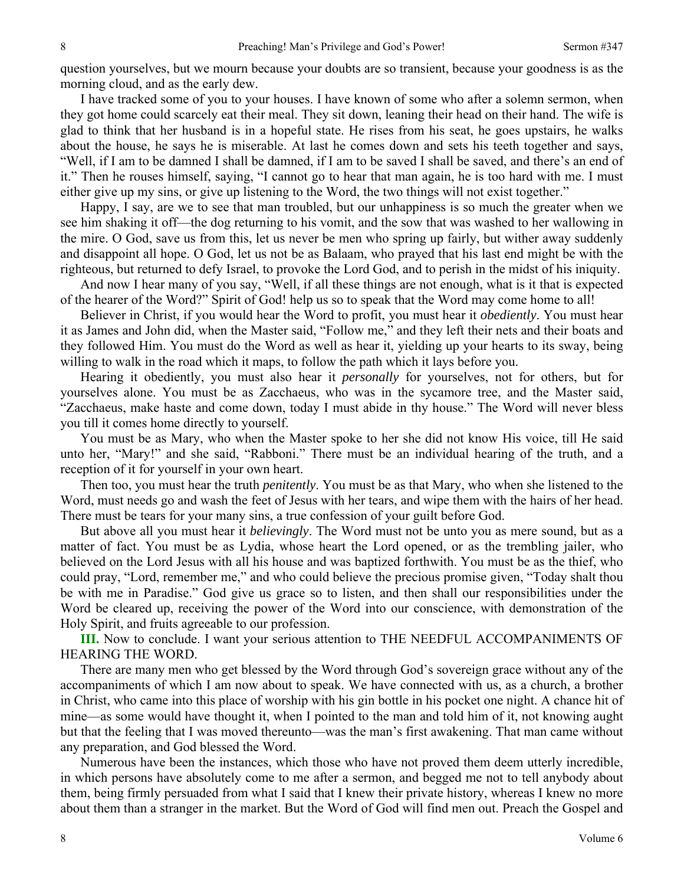question yourselves, but we mourn because your doubts are so transient, because your goodness is as the morning cloud, and as the early dew.

I have tracked some of you to your houses. I have known of some who after a solemn sermon, when they got home could scarcely eat their meal. They sit down, leaning their head on their hand. The wife is glad to think that her husband is in a hopeful state. He rises from his seat, he goes upstairs, he walks about the house, he says he is miserable. At last he comes down and sets his teeth together and says, "Well, if I am to be damned I shall be damned, if I am to be saved I shall be saved, and there's an end of it." Then he rouses himself, saying, "I cannot go to hear that man again, he is too hard with me. I must either give up my sins, or give up listening to the Word, the two things will not exist together."

Happy, I say, are we to see that man troubled, but our unhappiness is so much the greater when we see him shaking it off—the dog returning to his vomit, and the sow that was washed to her wallowing in the mire. O God, save us from this, let us never be men who spring up fairly, but wither away suddenly and disappoint all hope. O God, let us not be as Balaam, who prayed that his last end might be with the righteous, but returned to defy Israel, to provoke the Lord God, and to perish in the midst of his iniquity.

And now I hear many of you say, "Well, if all these things are not enough, what is it that is expected of the hearer of the Word?" Spirit of God! help us so to speak that the Word may come home to all!

Believer in Christ, if you would hear the Word to profit, you must hear it *obediently*. You must hear it as James and John did, when the Master said, "Follow me," and they left their nets and their boats and they followed Him. You must do the Word as well as hear it, yielding up your hearts to its sway, being willing to walk in the road which it maps, to follow the path which it lays before you.

Hearing it obediently, you must also hear it *personally* for yourselves, not for others, but for yourselves alone. You must be as Zacchaeus, who was in the sycamore tree, and the Master said, "Zacchaeus, make haste and come down, today I must abide in thy house." The Word will never bless you till it comes home directly to yourself.

You must be as Mary, who when the Master spoke to her she did not know His voice, till He said unto her, "Mary!" and she said, "Rabboni." There must be an individual hearing of the truth, and a reception of it for yourself in your own heart.

Then too, you must hear the truth *penitently*. You must be as that Mary, who when she listened to the Word, must needs go and wash the feet of Jesus with her tears, and wipe them with the hairs of her head. There must be tears for your many sins, a true confession of your guilt before God.

But above all you must hear it *believingly*. The Word must not be unto you as mere sound, but as a matter of fact. You must be as Lydia, whose heart the Lord opened, or as the trembling jailer, who believed on the Lord Jesus with all his house and was baptized forthwith. You must be as the thief, who could pray, "Lord, remember me," and who could believe the precious promise given, "Today shalt thou be with me in Paradise." God give us grace so to listen, and then shall our responsibilities under the Word be cleared up, receiving the power of the Word into our conscience, with demonstration of the Holy Spirit, and fruits agreeable to our profession.

**III.** Now to conclude. I want your serious attention to THE NEEDFUL ACCOMPANIMENTS OF HEARING THE WORD.

There are many men who get blessed by the Word through God's sovereign grace without any of the accompaniments of which I am now about to speak. We have connected with us, as a church, a brother in Christ, who came into this place of worship with his gin bottle in his pocket one night. A chance hit of mine—as some would have thought it, when I pointed to the man and told him of it, not knowing aught but that the feeling that I was moved thereunto—was the man's first awakening. That man came without any preparation, and God blessed the Word.

Numerous have been the instances, which those who have not proved them deem utterly incredible, in which persons have absolutely come to me after a sermon, and begged me not to tell anybody about them, being firmly persuaded from what I said that I knew their private history, whereas I knew no more about them than a stranger in the market. But the Word of God will find men out. Preach the Gospel and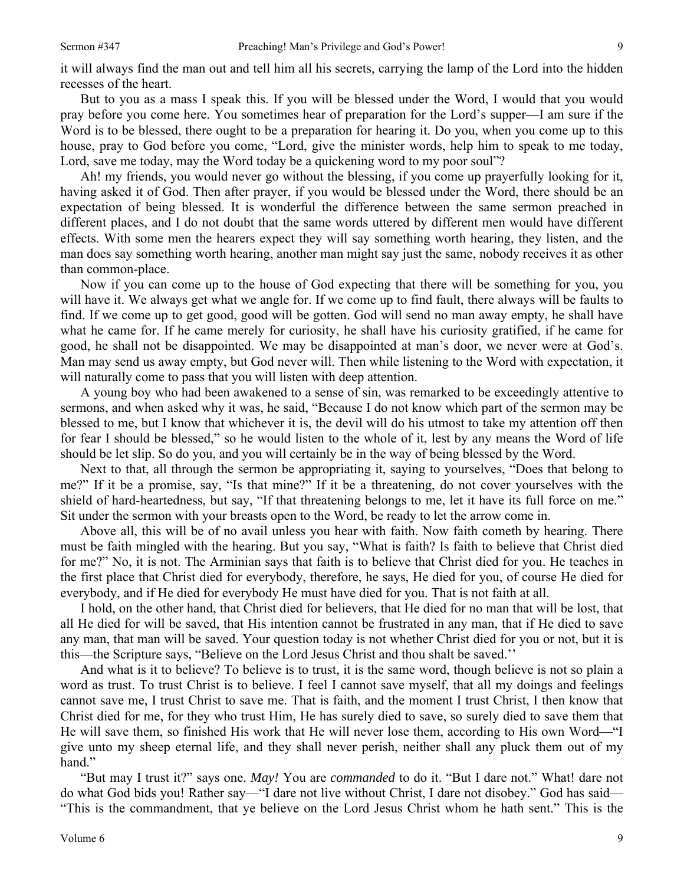it will always find the man out and tell him all his secrets, carrying the lamp of the Lord into the hidden recesses of the heart.

But to you as a mass I speak this. If you will be blessed under the Word, I would that you would pray before you come here. You sometimes hear of preparation for the Lord's supper—I am sure if the Word is to be blessed, there ought to be a preparation for hearing it. Do you, when you come up to this house, pray to God before you come, "Lord, give the minister words, help him to speak to me today, Lord, save me today, may the Word today be a quickening word to my poor soul"?

Ah! my friends, you would never go without the blessing, if you come up prayerfully looking for it, having asked it of God. Then after prayer, if you would be blessed under the Word, there should be an expectation of being blessed. It is wonderful the difference between the same sermon preached in different places, and I do not doubt that the same words uttered by different men would have different effects. With some men the hearers expect they will say something worth hearing, they listen, and the man does say something worth hearing, another man might say just the same, nobody receives it as other than common-place.

Now if you can come up to the house of God expecting that there will be something for you, you will have it. We always get what we angle for. If we come up to find fault, there always will be faults to find. If we come up to get good, good will be gotten. God will send no man away empty, he shall have what he came for. If he came merely for curiosity, he shall have his curiosity gratified, if he came for good, he shall not be disappointed. We may be disappointed at man's door, we never were at God's. Man may send us away empty, but God never will. Then while listening to the Word with expectation, it will naturally come to pass that you will listen with deep attention.

A young boy who had been awakened to a sense of sin, was remarked to be exceedingly attentive to sermons, and when asked why it was, he said, "Because I do not know which part of the sermon may be blessed to me, but I know that whichever it is, the devil will do his utmost to take my attention off then for fear I should be blessed," so he would listen to the whole of it, lest by any means the Word of life should be let slip. So do you, and you will certainly be in the way of being blessed by the Word.

Next to that, all through the sermon be appropriating it, saying to yourselves, "Does that belong to me?" If it be a promise, say, "Is that mine?" If it be a threatening, do not cover yourselves with the shield of hard-heartedness, but say, "If that threatening belongs to me, let it have its full force on me." Sit under the sermon with your breasts open to the Word, be ready to let the arrow come in.

Above all, this will be of no avail unless you hear with faith. Now faith cometh by hearing. There must be faith mingled with the hearing. But you say, "What is faith? Is faith to believe that Christ died for me?" No, it is not. The Arminian says that faith is to believe that Christ died for you. He teaches in the first place that Christ died for everybody, therefore, he says, He died for you, of course He died for everybody, and if He died for everybody He must have died for you. That is not faith at all.

I hold, on the other hand, that Christ died for believers, that He died for no man that will be lost, that all He died for will be saved, that His intention cannot be frustrated in any man, that if He died to save any man, that man will be saved. Your question today is not whether Christ died for you or not, but it is this—the Scripture says, "Believe on the Lord Jesus Christ and thou shalt be saved.''

And what is it to believe? To believe is to trust, it is the same word, though believe is not so plain a word as trust. To trust Christ is to believe. I feel I cannot save myself, that all my doings and feelings cannot save me, I trust Christ to save me. That is faith, and the moment I trust Christ, I then know that Christ died for me, for they who trust Him, He has surely died to save, so surely died to save them that He will save them, so finished His work that He will never lose them, according to His own Word—"I give unto my sheep eternal life, and they shall never perish, neither shall any pluck them out of my hand."

"But may I trust it?" says one. *May!* You are *commanded* to do it. "But I dare not." What! dare not do what God bids you! Rather say—"I dare not live without Christ, I dare not disobey." God has said— "This is the commandment, that ye believe on the Lord Jesus Christ whom he hath sent." This is the